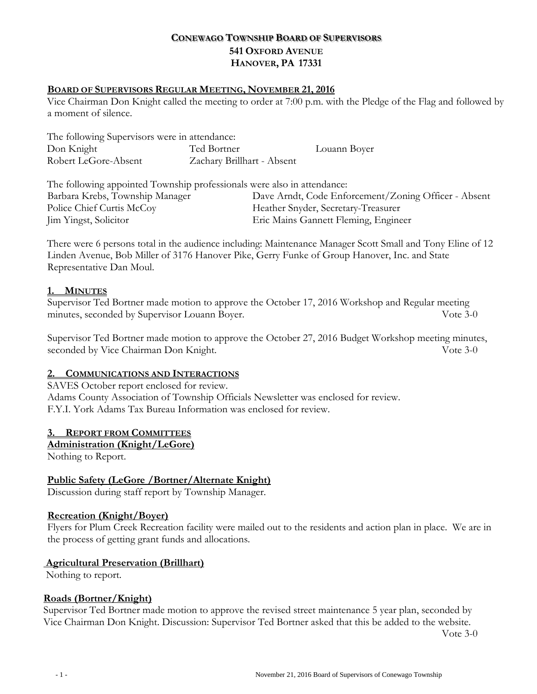# **CONEWAGO TOWNSHIP BOARD OF SUPERVISORS 541 OXFORD AVENUE HANOVER, PA 17331**

### **BOARD OF SUPERVISORS REGULAR MEETING, NOVEMBER 21, 2016**

Vice Chairman Don Knight called the meeting to order at 7:00 p.m. with the Pledge of the Flag and followed by a moment of silence.

| The following Supervisors were in attendance: |                            |              |
|-----------------------------------------------|----------------------------|--------------|
| Don Knight                                    | Ted Bortner                | Louann Boyer |
| Robert LeGore-Absent                          | Zachary Brillhart - Absent |              |

The following appointed Township professionals were also in attendance: Barbara Krebs, Township Manager Dave Arndt, Code Enforcement/Zoning Officer - Absent Police Chief Curtis McCoy Theather Snyder, Secretary-Treasurer Jim Yingst, Solicitor Eric Mains Gannett Fleming, Engineer

There were 6 persons total in the audience including: Maintenance Manager Scott Small and Tony Eline of 12 Linden Avenue, Bob Miller of 3176 Hanover Pike, Gerry Funke of Group Hanover, Inc. and State Representative Dan Moul.

### **1. MINUTES**

Supervisor Ted Bortner made motion to approve the October 17, 2016 Workshop and Regular meeting minutes, seconded by Supervisor Louann Boyer. Vote 3-0

Supervisor Ted Bortner made motion to approve the October 27, 2016 Budget Workshop meeting minutes, seconded by Vice Chairman Don Knight. Vote 3-0

# **2. COMMUNICATIONS AND INTERACTIONS**

SAVES October report enclosed for review. Adams County Association of Township Officials Newsletter was enclosed for review. F.Y.I. York Adams Tax Bureau Information was enclosed for review.

### **3. REPORT FROM COMMITTEES**

### **Administration (Knight/LeGore)**

Nothing to Report.

# **Public Safety (LeGore /Bortner/Alternate Knight)**

Discussion during staff report by Township Manager.

### **Recreation (Knight/Boyer)**

Flyers for Plum Creek Recreation facility were mailed out to the residents and action plan in place. We are in the process of getting grant funds and allocations.

### **Agricultural Preservation (Brillhart)**

Nothing to report.

### **Roads (Bortner/Knight)**

Supervisor Ted Bortner made motion to approve the revised street maintenance 5 year plan, seconded by Vice Chairman Don Knight. Discussion: Supervisor Ted Bortner asked that this be added to the website.

Vote 3-0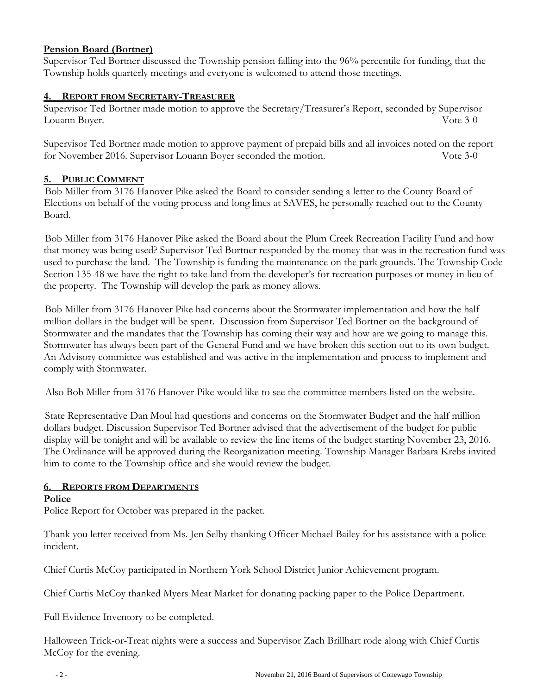## **Pension Board (Bortner)**

Supervisor Ted Bortner discussed the Township pension falling into the 96% percentile for funding, that the Township holds quarterly meetings and everyone is welcomed to attend those meetings.

### **4. REPORT FROM SECRETARY-TREASURER**

Supervisor Ted Bortner made motion to approve the Secretary/Treasurer's Report, seconded by Supervisor Louann Boyer. Vote 3-0

Supervisor Ted Bortner made motion to approve payment of prepaid bills and all invoices noted on the report for November 2016. Supervisor Louann Boyer seconded the motion. Vote 3-0

### **5. PUBLIC COMMENT**

Bob Miller from 3176 Hanover Pike asked the Board to consider sending a letter to the County Board of Elections on behalf of the voting process and long lines at SAVES, he personally reached out to the County Board.

Bob Miller from 3176 Hanover Pike asked the Board about the Plum Creek Recreation Facility Fund and how that money was being used? Supervisor Ted Bortner responded by the money that was in the recreation fund was used to purchase the land. The Township is funding the maintenance on the park grounds. The Township Code Section 135-48 we have the right to take land from the developer's for recreation purposes or money in lieu of the property. The Township will develop the park as money allows.

Bob Miller from 3176 Hanover Pike had concerns about the Stormwater implementation and how the half million dollars in the budget will be spent. Discussion from Supervisor Ted Bortner on the background of Stormwater and the mandates that the Township has coming their way and how are we going to manage this. Stormwater has always been part of the General Fund and we have broken this section out to its own budget. An Advisory committee was established and was active in the implementation and process to implement and comply with Stormwater.

Also Bob Miller from 3176 Hanover Pike would like to see the committee members listed on the website.

State Representative Dan Moul had questions and concerns on the Stormwater Budget and the half million dollars budget. Discussion Supervisor Ted Bortner advised that the advertisement of the budget for public display will be tonight and will be available to review the line items of the budget starting November 23, 2016. The Ordinance will be approved during the Reorganization meeting. Township Manager Barbara Krebs invited him to come to the Township office and she would review the budget.

# **6. REPORTS FROM DEPARTMENTS**

### **Police**

Police Report for October was prepared in the packet.

Thank you letter received from Ms. Jen Selby thanking Officer Michael Bailey for his assistance with a police incident.

Chief Curtis McCoy participated in Northern York School District Junior Achievement program.

Chief Curtis McCoy thanked Myers Meat Market for donating packing paper to the Police Department.

Full Evidence Inventory to be completed.

Halloween Trick-or-Treat nights were a success and Supervisor Zach Brillhart rode along with Chief Curtis McCoy for the evening.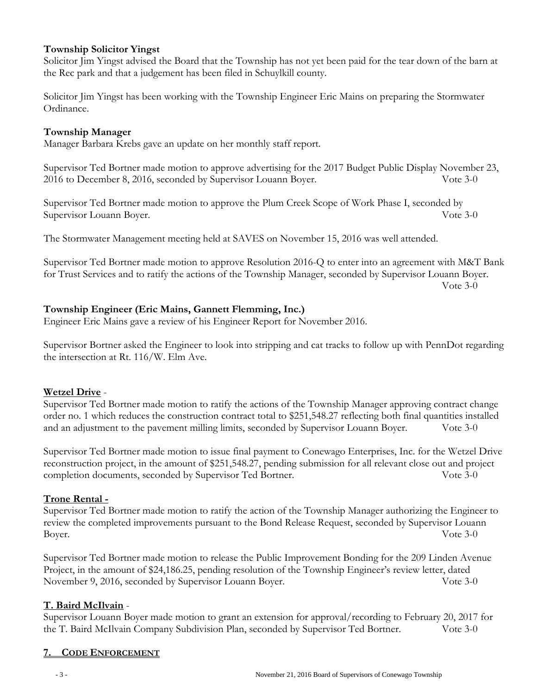### **Township Solicitor Yingst**

Solicitor Jim Yingst advised the Board that the Township has not yet been paid for the tear down of the barn at the Rec park and that a judgement has been filed in Schuylkill county.

Solicitor Jim Yingst has been working with the Township Engineer Eric Mains on preparing the Stormwater Ordinance.

### **Township Manager**

Manager Barbara Krebs gave an update on her monthly staff report.

Supervisor Ted Bortner made motion to approve advertising for the 2017 Budget Public Display November 23, 2016 to December 8, 2016, seconded by Supervisor Louann Boyer. Vote 3-0

Supervisor Ted Bortner made motion to approve the Plum Creek Scope of Work Phase I, seconded by Supervisor Louann Boyer. Vote 3-0

The Stormwater Management meeting held at SAVES on November 15, 2016 was well attended.

Supervisor Ted Bortner made motion to approve Resolution 2016-Q to enter into an agreement with M&T Bank for Trust Services and to ratify the actions of the Township Manager, seconded by Supervisor Louann Boyer.

Vote 3-0

### **Township Engineer (Eric Mains, Gannett Flemming, Inc.)**

Engineer Eric Mains gave a review of his Engineer Report for November 2016.

Supervisor Bortner asked the Engineer to look into stripping and cat tracks to follow up with PennDot regarding the intersection at Rt. 116/W. Elm Ave.

# **Wetzel Drive** -

Supervisor Ted Bortner made motion to ratify the actions of the Township Manager approving contract change order no. 1 which reduces the construction contract total to \$251,548.27 reflecting both final quantities installed and an adjustment to the pavement milling limits, seconded by Supervisor Louann Boyer. Vote 3-0

Supervisor Ted Bortner made motion to issue final payment to Conewago Enterprises, Inc. for the Wetzel Drive reconstruction project, in the amount of \$251,548.27, pending submission for all relevant close out and project completion documents, seconded by Supervisor Ted Bortner. Vote 3-0

### **Trone Rental -**

Supervisor Ted Bortner made motion to ratify the action of the Township Manager authorizing the Engineer to review the completed improvements pursuant to the Bond Release Request, seconded by Supervisor Louann Boyer. Vote 3-0

Supervisor Ted Bortner made motion to release the Public Improvement Bonding for the 209 Linden Avenue Project, in the amount of \$24,186.25, pending resolution of the Township Engineer's review letter, dated November 9, 2016, seconded by Supervisor Louann Boyer. Vote 3-0

# **T. Baird McIlvain** -

Supervisor Louann Boyer made motion to grant an extension for approval/recording to February 20, 2017 for the T. Baird McIlvain Company Subdivision Plan, seconded by Supervisor Ted Bortner. Vote 3-0

# **7. CODE ENFORCEMENT**